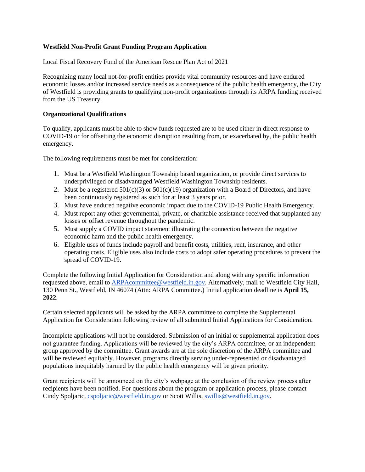# **Westfield Non-Profit Grant Funding Program Application**

Local Fiscal Recovery Fund of the American Rescue Plan Act of 2021

Recognizing many local not-for-profit entities provide vital community resources and have endured economic losses and/or increased service needs as a consequence of the public health emergency, the City of Westfield is providing grants to qualifying non-profit organizations through its ARPA funding received from the US Treasury.

## **Organizational Qualifications**

To qualify, applicants must be able to show funds requested are to be used either in direct response to COVID-19 or for offsetting the economic disruption resulting from, or exacerbated by, the public health emergency.

The following requirements must be met for consideration:

- 1. Must be a Westfield Washington Township based organization, or provide direct services to underprivileged or disadvantaged Westfield Washington Township residents.
- 2. Must be a registered  $501(c)(3)$  or  $501(c)(19)$  organization with a Board of Directors, and have been continuously registered as such for at least 3 years prior.
- 3. Must have endured negative economic impact due to the COVID-19 Public Health Emergency.
- 4. Must report any other governmental, private, or charitable assistance received that supplanted any losses or offset revenue throughout the pandemic.
- 5. Must supply a COVID impact statement illustrating the connection between the negative economic harm and the public health emergency.
- 6. Eligible uses of funds include payroll and benefit costs, utilities, rent, insurance, and other operating costs. Eligible uses also include costs to adopt safer operating procedures to prevent the spread of COVID-19.

Complete the following Initial Application for Consideration and along with any specific information requested above, email to [ARPAcommittee@westfield.in.gov.](mailto:ARPAcommittee@westfield.in.gov) Alternatively, mail to Westfield City Hall, 130 Penn St., Westfield, IN 46074 (Attn: ARPA Committee.) Initial application deadline is **April 15, 2022**.

Certain selected applicants will be asked by the ARPA committee to complete the Supplemental Application for Consideration following review of all submitted Initial Applications for Consideration.

Incomplete applications will not be considered. Submission of an initial or supplemental application does not guarantee funding. Applications will be reviewed by the city's ARPA committee, or an independent group approved by the committee. Grant awards are at the sole discretion of the ARPA committee and will be reviewed equitably. However, programs directly serving under-represented or disadvantaged populations inequitably harmed by the public health emergency will be given priority.

Grant recipients will be announced on the city's webpage at the conclusion of the review process after recipients have been notified. For questions about the program or application process, please contact Cindy Spoljaric, [cspoljaric@westfield.in.gov](mailto:cspoljaric@westfield.in.gov) or Scott Willis, [swillis@westfield.in.gov.](mailto:swillis@westfield.in.gov)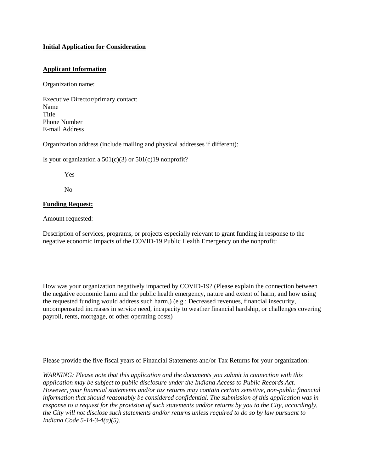## **Initial Application for Consideration**

## **Applicant Information**

Organization name:

Executive Director/primary contact: Name Title Phone Number E-mail Address

Organization address (include mailing and physical addresses if different):

Is your organization a  $501(c)(3)$  or  $501(c)19$  nonprofit?

Yes

No

#### **Funding Request:**

Amount requested:

Description of services, programs, or projects especially relevant to grant funding in response to the negative economic impacts of the COVID-19 Public Health Emergency on the nonprofit:

How was your organization negatively impacted by COVID-19? (Please explain the connection between the negative economic harm and the public health emergency, nature and extent of harm, and how using the requested funding would address such harm.) (e.g.: Decreased revenues, financial insecurity, uncompensated increases in service need, incapacity to weather financial hardship, or challenges covering payroll, rents, mortgage, or other operating costs)

Please provide the five fiscal years of Financial Statements and/or Tax Returns for your organization:

*WARNING: Please note that this application and the documents you submit in connection with this application may be subject to public disclosure under the Indiana Access to Public Records Act. However, your financial statements and/or tax returns may contain certain sensitive, non-public financial information that should reasonably be considered confidential. The submission of this application was in response to a request for the provision of such statements and/or returns by you to the City, accordingly, the City will not disclose such statements and/or returns unless required to do so by law pursuant to Indiana Code 5-14-3-4(a)(5).*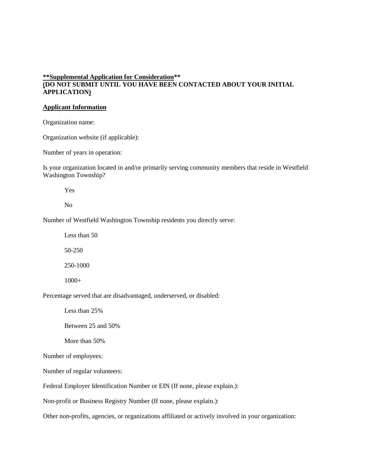# **\*\*Supplemental Application for Consideration\*\* (DO NOT SUBMIT UNTIL YOU HAVE BEEN CONTACTED ABOUT YOUR INITIAL APPLICATION)**

#### **Applicant Information**

Organization name:

Organization website (if applicable):

Number of years in operation:

Is your organization located in and/or primarily serving community members that reside in Westfield Washington Township?

Yes

No

Number of Westfield Washington Township residents you directly serve:

Less than 50 50-250 250-1000

1000+

Percentage served that are disadvantaged, underserved, or disabled:

Less than 25%

Between 25 and 50%

More than 50%

Number of employees:

Number of regular volunteers:

Federal Employer Identification Number or EIN (If none, please explain.):

Non-profit or Business Registry Number (If none, please explain.):

Other non-profits, agencies, or organizations affiliated or actively involved in your organization: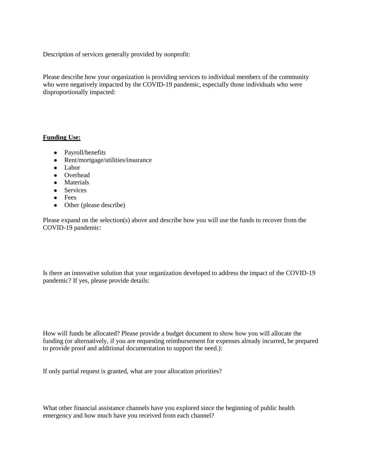Description of services generally provided by nonprofit:

Please describe how your organization is providing services to individual members of the community who were negatively impacted by the COVID-19 pandemic, especially those individuals who were disproportionally impacted:

#### **Funding Use:**

- Payroll/benefits
- Rent/mortgage/utilities/insurance
- Labor
- Overhead
- Materials
- Services
- Fees
- Other (please describe)

Please expand on the selection(s) above and describe how you will use the funds to recover from the COVID-19 pandemic:

Is there an innovative solution that your organization developed to address the impact of the COVID-19 pandemic? If yes, please provide details:

How will funds be allocated? Please provide a budget document to show how you will allocate the funding (or alternatively, if you are requesting reimbursement for expenses already incurred, be prepared to provide proof and additional documentation to support the need.):

If only partial request is granted, what are your allocation priorities?

What other financial assistance channels have you explored since the beginning of public health emergency and how much have you received from each channel?